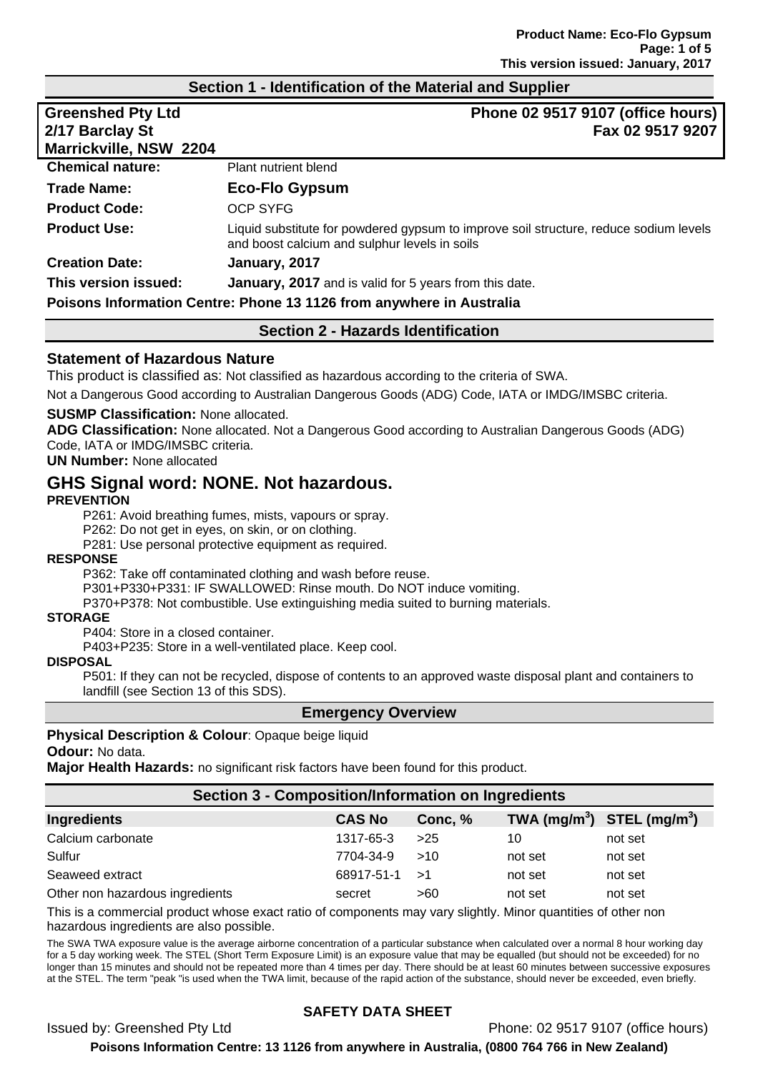#### **Section 1 - Identification of the Material and Supplier**

| <b>Greenshed Pty Ltd</b><br>2/17 Barclay St                          | Phone 02 9517 9107 (office hours)<br>Fax 02 9517 9207                                                                                  |  |
|----------------------------------------------------------------------|----------------------------------------------------------------------------------------------------------------------------------------|--|
| Marrickville, NSW 2204                                               |                                                                                                                                        |  |
| <b>Chemical nature:</b>                                              | Plant nutrient blend                                                                                                                   |  |
| Trade Name:                                                          | <b>Eco-Flo Gypsum</b>                                                                                                                  |  |
| <b>Product Code:</b>                                                 | <b>OCP SYFG</b>                                                                                                                        |  |
| <b>Product Use:</b>                                                  | Liquid substitute for powdered gypsum to improve soil structure, reduce sodium levels<br>and boost calcium and sulphur levels in soils |  |
| <b>Creation Date:</b>                                                | January, 2017                                                                                                                          |  |
| This version issued:                                                 | <b>January, 2017</b> and is valid for 5 years from this date.                                                                          |  |
| Poisons Information Centre: Phone 13 1126 from anywhere in Australia |                                                                                                                                        |  |

# **Section 2 - Hazards Identification**

#### **Statement of Hazardous Nature**

This product is classified as: Not classified as hazardous according to the criteria of SWA.

Not a Dangerous Good according to Australian Dangerous Goods (ADG) Code, IATA or IMDG/IMSBC criteria.

#### **SUSMP Classification:** None allocated.

**ADG Classification:** None allocated. Not a Dangerous Good according to Australian Dangerous Goods (ADG) Code, IATA or IMDG/IMSBC criteria.

#### **UN Number:** None allocated

# **GHS Signal word: NONE. Not hazardous.**

#### **PREVENTION**

P261: Avoid breathing fumes, mists, vapours or spray.

P262: Do not get in eyes, on skin, or on clothing.

P281: Use personal protective equipment as required.

#### **RESPONSE**

P362: Take off contaminated clothing and wash before reuse.

P301+P330+P331: IF SWALLOWED: Rinse mouth. Do NOT induce vomiting.

P370+P378: Not combustible. Use extinguishing media suited to burning materials.

#### **STORAGE**

P404: Store in a closed container.

P403+P235: Store in a well-ventilated place. Keep cool.

#### **DISPOSAL**

P501: If they can not be recycled, dispose of contents to an approved waste disposal plant and containers to landfill (see Section 13 of this SDS).

#### **Emergency Overview**

#### **Physical Description & Colour**: Opaque beige liquid **Odour:** No data.

**Major Health Hazards:** no significant risk factors have been found for this product.

#### **Section 3 - Composition/Information on Ingredients**

| <b>Ingredients</b>              | <b>CAS No</b> | Conc, % |         | TWA (mg/m <sup>3</sup> ) STEL (mg/m <sup>3</sup> ) |
|---------------------------------|---------------|---------|---------|----------------------------------------------------|
| Calcium carbonate               | 1317-65-3     | >25     | 10      | not set                                            |
| Sulfur                          | 7704-34-9     | >10     | not set | not set                                            |
| Seaweed extract                 | 68917-51-1    | —>1     | not set | not set                                            |
| Other non hazardous ingredients | secret        | >60     | not set | not set                                            |

This is a commercial product whose exact ratio of components may vary slightly. Minor quantities of other non hazardous ingredients are also possible.

The SWA TWA exposure value is the average airborne concentration of a particular substance when calculated over a normal 8 hour working day for a 5 day working week. The STEL (Short Term Exposure Limit) is an exposure value that may be equalled (but should not be exceeded) for no longer than 15 minutes and should not be repeated more than 4 times per day. There should be at least 60 minutes between successive exposures at the STEL. The term "peak "is used when the TWA limit, because of the rapid action of the substance, should never be exceeded, even briefly.

#### **SAFETY DATA SHEET**

Issued by: Greenshed Pty Ltd Phone: 02 9517 9107 (office hours)

**Poisons Information Centre: 13 1126 from anywhere in Australia, (0800 764 766 in New Zealand)**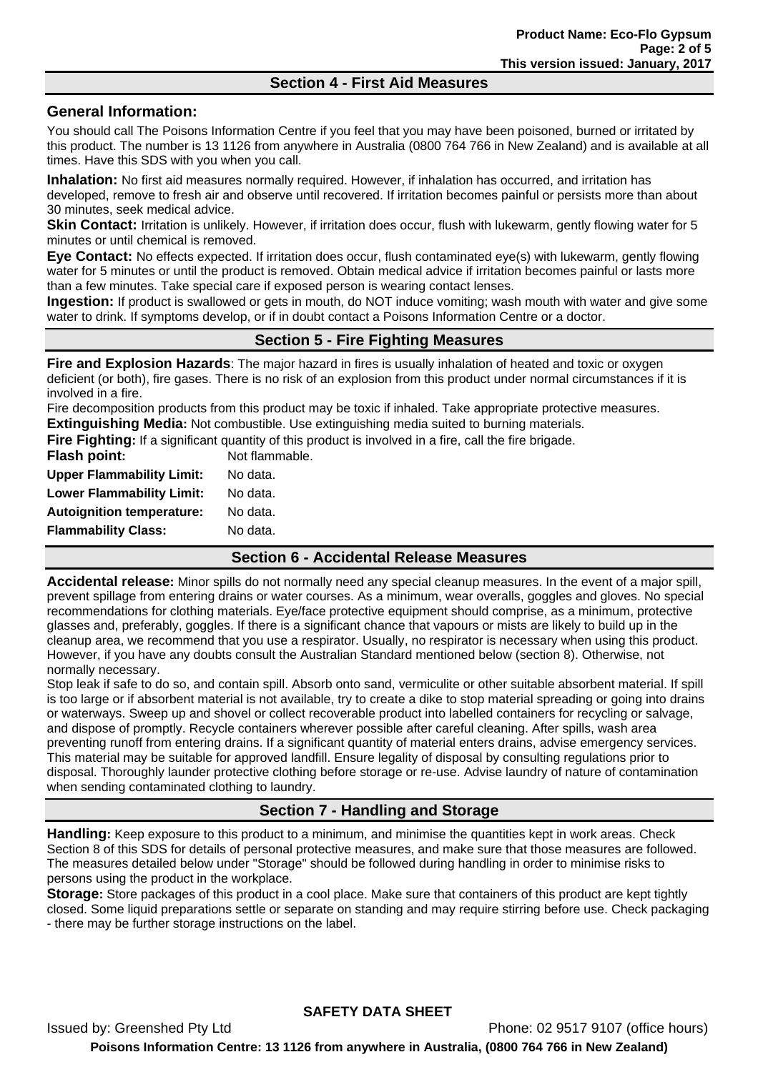## **Section 4 - First Aid Measures**

## **General Information:**

You should call The Poisons Information Centre if you feel that you may have been poisoned, burned or irritated by this product. The number is 13 1126 from anywhere in Australia (0800 764 766 in New Zealand) and is available at all times. Have this SDS with you when you call.

**Inhalation:** No first aid measures normally required. However, if inhalation has occurred, and irritation has developed, remove to fresh air and observe until recovered. If irritation becomes painful or persists more than about 30 minutes, seek medical advice.

**Skin Contact:** Irritation is unlikely. However, if irritation does occur, flush with lukewarm, gently flowing water for 5 minutes or until chemical is removed.

**Eye Contact:** No effects expected. If irritation does occur, flush contaminated eye(s) with lukewarm, gently flowing water for 5 minutes or until the product is removed. Obtain medical advice if irritation becomes painful or lasts more than a few minutes. Take special care if exposed person is wearing contact lenses.

**Ingestion:** If product is swallowed or gets in mouth, do NOT induce vomiting; wash mouth with water and give some water to drink. If symptoms develop, or if in doubt contact a Poisons Information Centre or a doctor.

# **Section 5 - Fire Fighting Measures**

**Fire and Explosion Hazards**: The major hazard in fires is usually inhalation of heated and toxic or oxygen deficient (or both), fire gases. There is no risk of an explosion from this product under normal circumstances if it is involved in a fire.

Fire decomposition products from this product may be toxic if inhaled. Take appropriate protective measures.

**Extinguishing Media:** Not combustible. Use extinguishing media suited to burning materials. **Fire Fighting:** If a significant quantity of this product is involved in a fire, call the fire brigade.

|                                  | .                                                                                                            |
|----------------------------------|--------------------------------------------------------------------------------------------------------------|
|                                  |                                                                                                              |
| <b>Flammability Class:</b>       | No data.                                                                                                     |
| <b>Autoignition temperature:</b> | No data.                                                                                                     |
|                                  |                                                                                                              |
| <b>Lower Flammability Limit:</b> | No data.                                                                                                     |
| <b>Upper Flammability Limit:</b> | No data.                                                                                                     |
| Flash point:                     | Not flammable.                                                                                               |
|                                  | <b>Fire Fighting.</b> If a significant quantity of this product is involved in a fire, call the fire prigade |

## **Section 6 - Accidental Release Measures**

**Accidental release:** Minor spills do not normally need any special cleanup measures. In the event of a major spill, prevent spillage from entering drains or water courses. As a minimum, wear overalls, goggles and gloves. No special recommendations for clothing materials. Eye/face protective equipment should comprise, as a minimum, protective glasses and, preferably, goggles. If there is a significant chance that vapours or mists are likely to build up in the cleanup area, we recommend that you use a respirator. Usually, no respirator is necessary when using this product. However, if you have any doubts consult the Australian Standard mentioned below (section 8). Otherwise, not normally necessary.

Stop leak if safe to do so, and contain spill. Absorb onto sand, vermiculite or other suitable absorbent material. If spill is too large or if absorbent material is not available, try to create a dike to stop material spreading or going into drains or waterways. Sweep up and shovel or collect recoverable product into labelled containers for recycling or salvage, and dispose of promptly. Recycle containers wherever possible after careful cleaning. After spills, wash area preventing runoff from entering drains. If a significant quantity of material enters drains, advise emergency services. This material may be suitable for approved landfill. Ensure legality of disposal by consulting regulations prior to disposal. Thoroughly launder protective clothing before storage or re-use. Advise laundry of nature of contamination when sending contaminated clothing to laundry.

# **Section 7 - Handling and Storage**

**Handling:** Keep exposure to this product to a minimum, and minimise the quantities kept in work areas. Check Section 8 of this SDS for details of personal protective measures, and make sure that those measures are followed. The measures detailed below under "Storage" should be followed during handling in order to minimise risks to persons using the product in the workplace.

**Storage:** Store packages of this product in a cool place. Make sure that containers of this product are kept tightly closed. Some liquid preparations settle or separate on standing and may require stirring before use. Check packaging - there may be further storage instructions on the label.

**SAFETY DATA SHEET**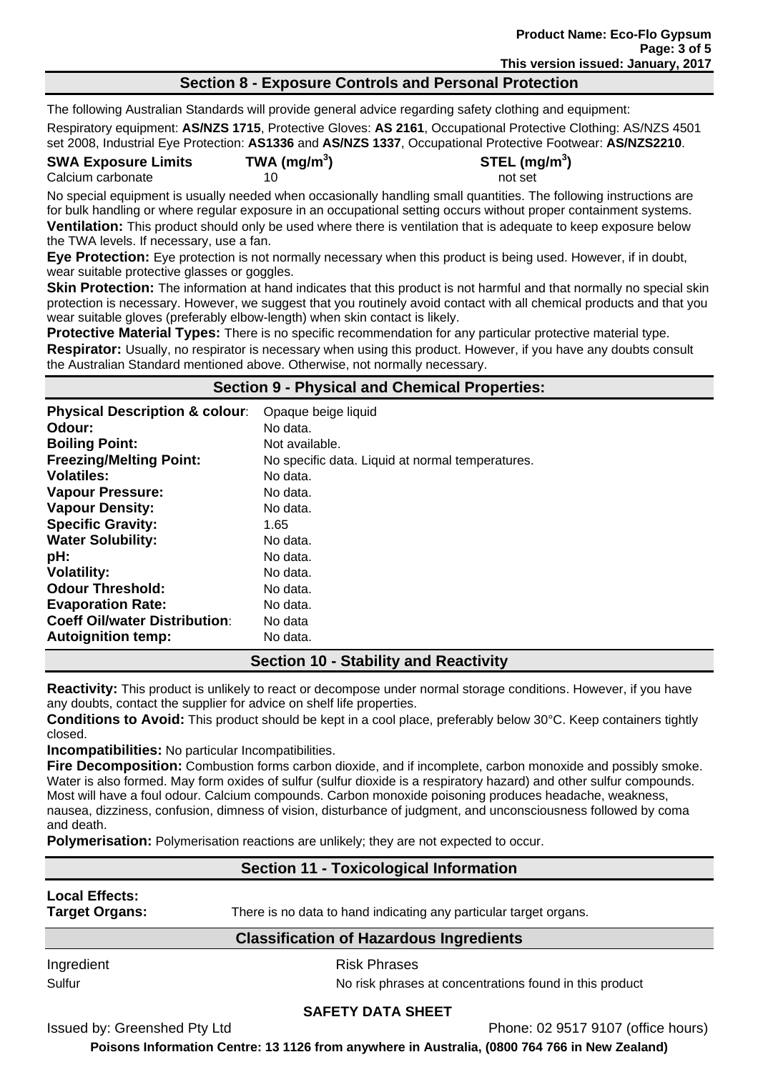#### **Section 8 - Exposure Controls and Personal Protection**

The following Australian Standards will provide general advice regarding safety clothing and equipment: Respiratory equipment: **AS/NZS 1715**, Protective Gloves: **AS 2161**, Occupational Protective Clothing: AS/NZS 4501 set 2008, Industrial Eye Protection: **AS1336** and **AS/NZS 1337**, Occupational Protective Footwear: **AS/NZS2210**.

**SWA Exposure Limits TWA (mg/m<sup>3</sup>**

Calcium carbonate **10** not set

**) STEL (mg/m<sup>3</sup> )** 

No special equipment is usually needed when occasionally handling small quantities. The following instructions are for bulk handling or where regular exposure in an occupational setting occurs without proper containment systems. **Ventilation:** This product should only be used where there is ventilation that is adequate to keep exposure below the TWA levels. If necessary, use a fan.

**Eye Protection:** Eye protection is not normally necessary when this product is being used. However, if in doubt, wear suitable protective glasses or goggles.

**Skin Protection:** The information at hand indicates that this product is not harmful and that normally no special skin protection is necessary. However, we suggest that you routinely avoid contact with all chemical products and that you wear suitable gloves (preferably elbow-length) when skin contact is likely.

**Protective Material Types:** There is no specific recommendation for any particular protective material type. **Respirator:** Usually, no respirator is necessary when using this product. However, if you have any doubts consult the Australian Standard mentioned above. Otherwise, not normally necessary.

## **Section 9 - Physical and Chemical Properties:**

| <b>Physical Description &amp; colour:</b> | Opaque beige liquid                              |
|-------------------------------------------|--------------------------------------------------|
| Odour:                                    | No data.                                         |
| <b>Boiling Point:</b>                     | Not available.                                   |
| <b>Freezing/Melting Point:</b>            | No specific data. Liquid at normal temperatures. |
| <b>Volatiles:</b>                         | No data.                                         |
| <b>Vapour Pressure:</b>                   | No data.                                         |
| <b>Vapour Density:</b>                    | No data.                                         |
| <b>Specific Gravity:</b>                  | 1.65                                             |
| <b>Water Solubility:</b>                  | No data.                                         |
| pH:                                       | No data.                                         |
| <b>Volatility:</b>                        | No data.                                         |
| <b>Odour Threshold:</b>                   | No data.                                         |
| <b>Evaporation Rate:</b>                  | No data.                                         |
| <b>Coeff Oil/water Distribution:</b>      | No data                                          |
| <b>Autoignition temp:</b>                 | No data.                                         |

## **Section 10 - Stability and Reactivity**

**Reactivity:** This product is unlikely to react or decompose under normal storage conditions. However, if you have any doubts, contact the supplier for advice on shelf life properties.

**Conditions to Avoid:** This product should be kept in a cool place, preferably below 30°C. Keep containers tightly closed.

**Incompatibilities:** No particular Incompatibilities.

**Fire Decomposition:** Combustion forms carbon dioxide, and if incomplete, carbon monoxide and possibly smoke. Water is also formed. May form oxides of sulfur (sulfur dioxide is a respiratory hazard) and other sulfur compounds. Most will have a foul odour. Calcium compounds. Carbon monoxide poisoning produces headache, weakness, nausea, dizziness, confusion, dimness of vision, disturbance of judgment, and unconsciousness followed by coma and death.

**Polymerisation:** Polymerisation reactions are unlikely; they are not expected to occur.

# **Section 11 - Toxicological Information**

**Local Effects:** 

**Target Organs:** There is no data to hand indicating any particular target organs.

#### **Classification of Hazardous Ingredients**

Ingredient **Risk Phrases** 

Sulfur Sulfur No risk phrases at concentrations found in this product

#### **SAFETY DATA SHEET**

Issued by: Greenshed Pty Ltd Phone: 02 9517 9107 (office hours)

**Poisons Information Centre: 13 1126 from anywhere in Australia, (0800 764 766 in New Zealand)**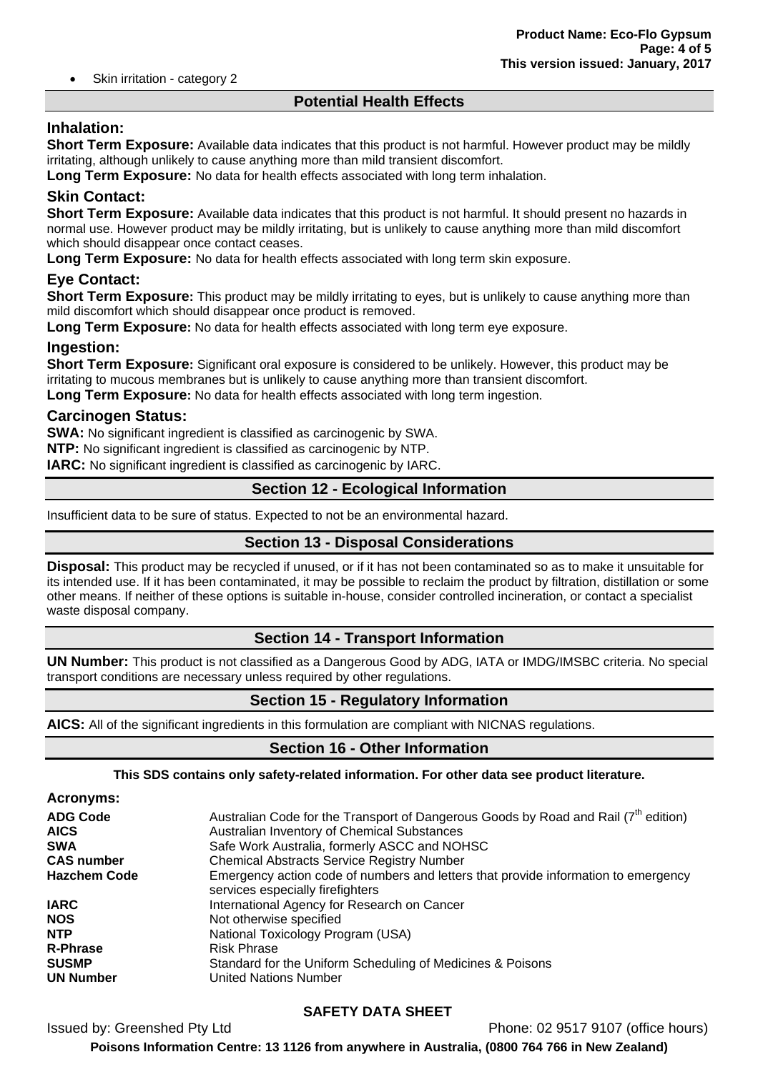• Skin irritation - category 2

## **Potential Health Effects**

## **Inhalation:**

**Short Term Exposure:** Available data indicates that this product is not harmful. However product may be mildly irritating, although unlikely to cause anything more than mild transient discomfort.

**Long Term Exposure:** No data for health effects associated with long term inhalation.

## **Skin Contact:**

**Short Term Exposure:** Available data indicates that this product is not harmful. It should present no hazards in normal use. However product may be mildly irritating, but is unlikely to cause anything more than mild discomfort which should disappear once contact ceases.

**Long Term Exposure:** No data for health effects associated with long term skin exposure.

## **Eye Contact:**

**Short Term Exposure:** This product may be mildly irritating to eyes, but is unlikely to cause anything more than mild discomfort which should disappear once product is removed.

**Long Term Exposure:** No data for health effects associated with long term eye exposure.

#### **Ingestion:**

**Short Term Exposure:** Significant oral exposure is considered to be unlikely. However, this product may be irritating to mucous membranes but is unlikely to cause anything more than transient discomfort.

**Long Term Exposure:** No data for health effects associated with long term ingestion.

#### **Carcinogen Status:**

**SWA:** No significant ingredient is classified as carcinogenic by SWA.

**NTP:** No significant ingredient is classified as carcinogenic by NTP.

**IARC:** No significant ingredient is classified as carcinogenic by IARC.

## **Section 12 - Ecological Information**

Insufficient data to be sure of status. Expected to not be an environmental hazard.

## **Section 13 - Disposal Considerations**

**Disposal:** This product may be recycled if unused, or if it has not been contaminated so as to make it unsuitable for its intended use. If it has been contaminated, it may be possible to reclaim the product by filtration, distillation or some other means. If neither of these options is suitable in-house, consider controlled incineration, or contact a specialist waste disposal company.

## **Section 14 - Transport Information**

**UN Number:** This product is not classified as a Dangerous Good by ADG, IATA or IMDG/IMSBC criteria. No special transport conditions are necessary unless required by other regulations.

## **Section 15 - Regulatory Information**

**AICS:** All of the significant ingredients in this formulation are compliant with NICNAS regulations.

## **Section 16 - Other Information**

**This SDS contains only safety-related information. For other data see product literature.** 

| <b>Acronyms:</b>    |                                                                                                                        |
|---------------------|------------------------------------------------------------------------------------------------------------------------|
| <b>ADG Code</b>     | Australian Code for the Transport of Dangerous Goods by Road and Rail (7 <sup>th</sup> edition)                        |
| <b>AICS</b>         | Australian Inventory of Chemical Substances                                                                            |
| <b>SWA</b>          | Safe Work Australia, formerly ASCC and NOHSC                                                                           |
| <b>CAS number</b>   | <b>Chemical Abstracts Service Registry Number</b>                                                                      |
| <b>Hazchem Code</b> | Emergency action code of numbers and letters that provide information to emergency<br>services especially firefighters |
| <b>IARC</b>         | International Agency for Research on Cancer                                                                            |
| <b>NOS</b>          | Not otherwise specified                                                                                                |
| <b>NTP</b>          | National Toxicology Program (USA)                                                                                      |
| <b>R-Phrase</b>     | <b>Risk Phrase</b>                                                                                                     |
| <b>SUSMP</b>        | Standard for the Uniform Scheduling of Medicines & Poisons                                                             |
| <b>UN Number</b>    | <b>United Nations Number</b>                                                                                           |

# **SAFETY DATA SHEET**

Issued by: Greenshed Pty Ltd Phone: 02 9517 9107 (office hours)

**Poisons Information Centre: 13 1126 from anywhere in Australia, (0800 764 766 in New Zealand)**